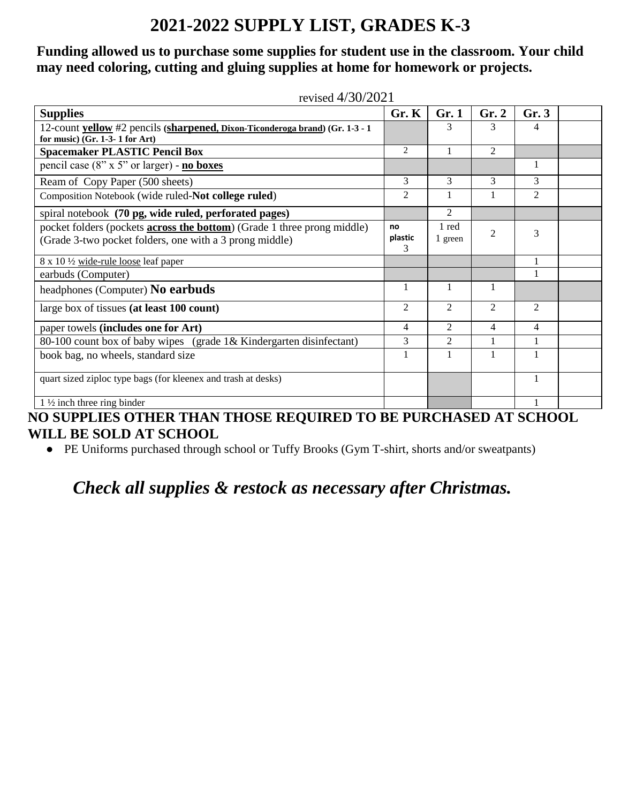# **2021-2022 SUPPLY LIST, GRADES K-3**

#### **Funding allowed us to purchase some supplies for student use in the classroom. Your child may need coloring, cutting and gluing supplies at home for homework or projects.**

| revised $4/30/2021$                                                                                                                        |                    |                  |                |                |  |  |  |
|--------------------------------------------------------------------------------------------------------------------------------------------|--------------------|------------------|----------------|----------------|--|--|--|
| <b>Supplies</b>                                                                                                                            | Gr. K              | Gr.1             | Gr. 2          | Gr.3           |  |  |  |
| 12-count yellow #2 pencils (sharpened, Dixon-Ticonderoga brand) (Gr. 1-3 - 1                                                               |                    | 3                | 3              | 4              |  |  |  |
| for music) $(Gr. 1-3-1 for Art)$                                                                                                           |                    |                  |                |                |  |  |  |
| <b>Spacemaker PLASTIC Pencil Box</b>                                                                                                       | 2                  |                  | $\overline{2}$ |                |  |  |  |
| pencil case $(8" \times 5"$ or larger) - <b>no boxes</b>                                                                                   |                    |                  |                |                |  |  |  |
| Ream of Copy Paper (500 sheets)                                                                                                            | 3                  | 3                | 3              | 3              |  |  |  |
| Composition Notebook (wide ruled-Not college ruled)                                                                                        | $\overline{2}$     |                  |                | $\overline{2}$ |  |  |  |
| spiral notebook (70 pg, wide ruled, perforated pages)                                                                                      |                    | $\overline{2}$   |                |                |  |  |  |
| pocket folders (pockets <b>across the bottom</b> ) (Grade 1 three prong middle)<br>(Grade 3-two pocket folders, one with a 3 prong middle) | no<br>plastic<br>3 | 1 red<br>1 green | $\overline{c}$ | 3              |  |  |  |
| 8 x 10 1/2 wide-rule loose leaf paper                                                                                                      |                    |                  |                |                |  |  |  |
| earbuds (Computer)                                                                                                                         |                    |                  |                |                |  |  |  |
| headphones (Computer) No earbuds                                                                                                           | 1                  | 1                |                |                |  |  |  |
| large box of tissues (at least 100 count)                                                                                                  | $\overline{2}$     | 2                | 2              | 2              |  |  |  |
| paper towels (includes one for Art)                                                                                                        | 4                  | $\overline{2}$   | 4              | 4              |  |  |  |
| 80-100 count box of baby wipes (grade 1& Kindergarten disinfectant)                                                                        | 3                  | $\overline{2}$   | 1              |                |  |  |  |
| book bag, no wheels, standard size                                                                                                         |                    | $\mathbf{1}$     |                |                |  |  |  |
| quart sized ziploc type bags (for kleenex and trash at desks)                                                                              |                    |                  |                |                |  |  |  |
| $1\frac{1}{2}$ inch three ring binder<br>IO CUIDDI IRC OBUIRD BILLY BILOGR DROUBBRD BO DR DUDOULCED. LE COUQOI                             |                    |                  |                |                |  |  |  |

**NO SUPPLIES OTHER THAN THOSE REQUIRED TO BE PURCHASED AT SCHOOL WILL BE SOLD AT SCHOOL**

● PE Uniforms purchased through school or Tuffy Brooks (Gym T-shirt, shorts and/or sweatpants)

## *Check all supplies & restock as necessary after Christmas.*